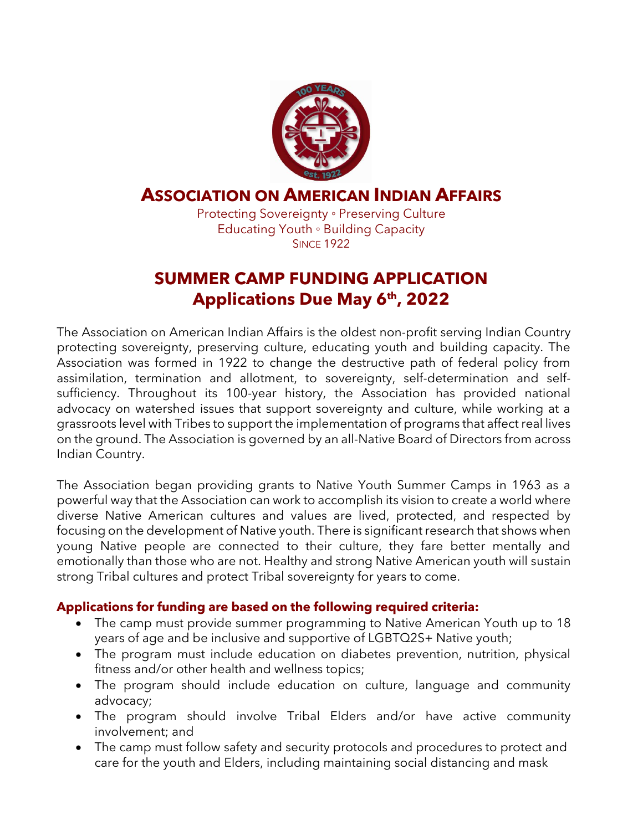

### **ASSOCIATION ON AMERICAN INDIAN AFFAIRS**

Protecting Sovereignty ◦ Preserving Culture Educating Youth ◦ Building Capacity **SINCE 1922** 

## **SUMMER CAMP FUNDING APPLICATION Applications Due May 6th, 2022**

The Association on American Indian Affairs is the oldest non-profit serving Indian Country protecting sovereignty, preserving culture, educating youth and building capacity. The Association was formed in 1922 to change the destructive path of federal policy from assimilation, termination and allotment, to sovereignty, self-determination and selfsufficiency. Throughout its 100-year history, the Association has provided national advocacy on watershed issues that support sovereignty and culture, while working at a grassroots level with Tribes to support the implementation of programs that affect real lives on the ground. The Association is governed by an all-Native Board of Directors from across Indian Country.

The Association began providing grants to Native Youth Summer Camps in 1963 as a powerful way that the Association can work to accomplish its vision to create a world where diverse Native American cultures and values are lived, protected, and respected by focusing on the development of Native youth. There is significant research that shows when young Native people are connected to their culture, they fare better mentally and emotionally than those who are not. Healthy and strong Native American youth will sustain strong Tribal cultures and protect Tribal sovereignty for years to come.

### **Applications for funding are based on the following required criteria:**

- The camp must provide summer programming to Native American Youth up to 18 years of age and be inclusive and supportive of LGBTQ2S+ Native youth;
- The program must include education on diabetes prevention, nutrition, physical fitness and/or other health and wellness topics;
- The program should include education on culture, language and community advocacy;
- The program should involve Tribal Elders and/or have active community involvement; and
- The camp must follow safety and security protocols and procedures to protect and care for the youth and Elders, including maintaining social distancing and mask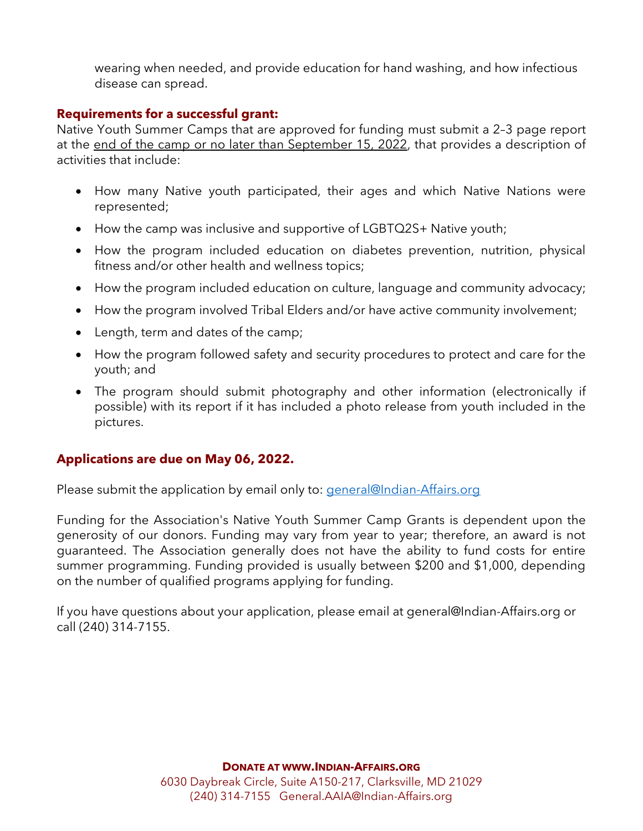wearing when needed, and provide education for hand washing, and how infectious disease can spread.

#### **Requirements for a successful grant:**

Native Youth Summer Camps that are approved for funding must submit a 2–3 page report at the end of the camp or no later than September 15, 2022, that provides a description of activities that include:

- How many Native youth participated, their ages and which Native Nations were represented;
- How the camp was inclusive and supportive of LGBTQ2S+ Native youth;
- How the program included education on diabetes prevention, nutrition, physical fitness and/or other health and wellness topics;
- How the program included education on culture, language and community advocacy;
- How the program involved Tribal Elders and/or have active community involvement;
- Length, term and dates of the camp;
- How the program followed safety and security procedures to protect and care for the youth; and
- The program should submit photography and other information (electronically if possible) with its report if it has included a photo release from youth included in the pictures.

#### **Applications are due on May 06, 2022.**

Please submit the application by email only to: [general@Indian-Affairs.org](mailto:general@Indian-Affairs.org)

Funding for the Association's Native Youth Summer Camp Grants is dependent upon the generosity of our donors. Funding may vary from year to year; therefore, an award is not guaranteed. The Association generally does not have the ability to fund costs for entire summer programming. Funding provided is usually between \$200 and \$1,000, depending on the number of qualified programs applying for funding.

If you have questions about your application, please email at general@Indian-Affairs.org or call (240) 314-7155.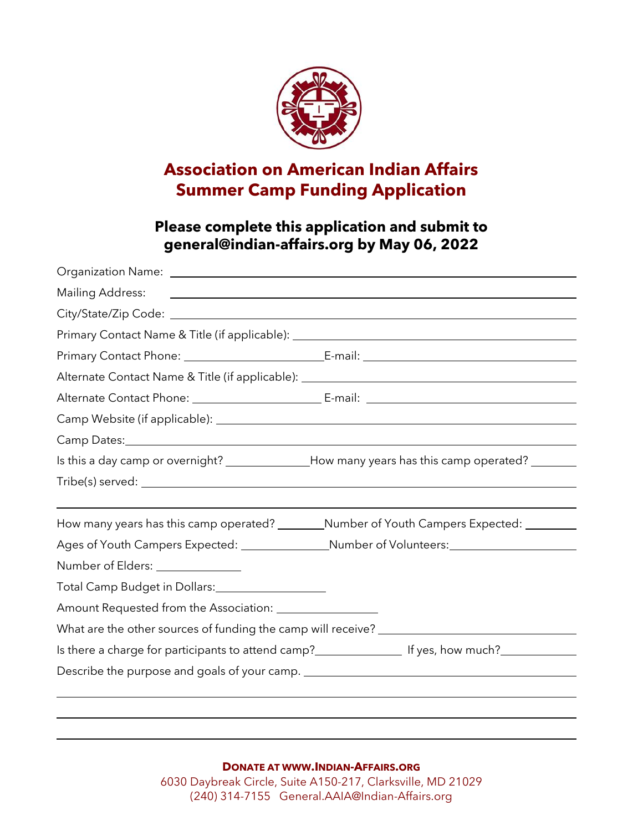

# **Association on American Indian Affairs Summer Camp Funding Application**

### **Please complete this application and submit to [general@indian-affairs.org](mailto:general@indian-affairs.org) by May 06, 2022**

|                                                                                                     | Mailing Address: The Mailing Address: The Mailing Address: The Mailing Address: The Mailing Address: The Mail  |  |  |  |  |  |  |  |
|-----------------------------------------------------------------------------------------------------|----------------------------------------------------------------------------------------------------------------|--|--|--|--|--|--|--|
|                                                                                                     |                                                                                                                |  |  |  |  |  |  |  |
|                                                                                                     | Primary Contact Name & Title (if applicable): __________________________________                               |  |  |  |  |  |  |  |
|                                                                                                     |                                                                                                                |  |  |  |  |  |  |  |
|                                                                                                     | Alternate Contact Name & Title (if applicable): _________________________________                              |  |  |  |  |  |  |  |
|                                                                                                     |                                                                                                                |  |  |  |  |  |  |  |
|                                                                                                     |                                                                                                                |  |  |  |  |  |  |  |
|                                                                                                     |                                                                                                                |  |  |  |  |  |  |  |
| Is this a day camp or overnight? ______________How many years has this camp operated? _______       |                                                                                                                |  |  |  |  |  |  |  |
|                                                                                                     |                                                                                                                |  |  |  |  |  |  |  |
|                                                                                                     | How many years has this camp operated? _________Number of Youth Campers Expected: _________                    |  |  |  |  |  |  |  |
| Ages of Youth Campers Expected: __________________Number of Volunteers: ___________________________ |                                                                                                                |  |  |  |  |  |  |  |
| Number of Elders: _____________                                                                     |                                                                                                                |  |  |  |  |  |  |  |
| Total Camp Budget in Dollars: 1988 1999                                                             |                                                                                                                |  |  |  |  |  |  |  |
|                                                                                                     |                                                                                                                |  |  |  |  |  |  |  |
|                                                                                                     | What are the other sources of funding the camp will receive? ____________________                              |  |  |  |  |  |  |  |
|                                                                                                     | Is there a charge for participants to attend camp? Interactionally presequence of the resonance of the state o |  |  |  |  |  |  |  |
|                                                                                                     | Describe the purpose and goals of your camp. ___________________________________                               |  |  |  |  |  |  |  |
|                                                                                                     |                                                                                                                |  |  |  |  |  |  |  |

**DONATE AT WWW.INDIAN-AFFAIRS.ORG**

6030 Daybreak Circle, Suite A150-217, Clarksville, MD 21029 (240) 314-7155 General.AAIA@Indian-Affairs.org